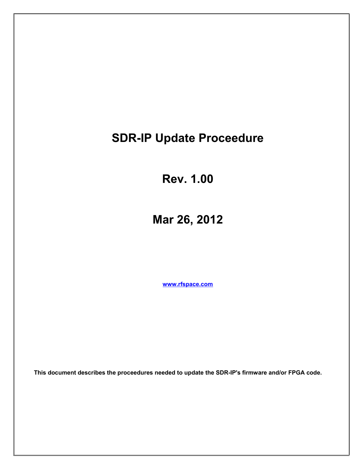# **SDR-IP Update Proceedure**

**Rev. 1.00**

**Mar 26, 2012**

**[www.rfspace.com](http://www.rfspace.com/)**

**This document describes the proceedures needed to update the SDR-IP's firmware and/or FPGA code.**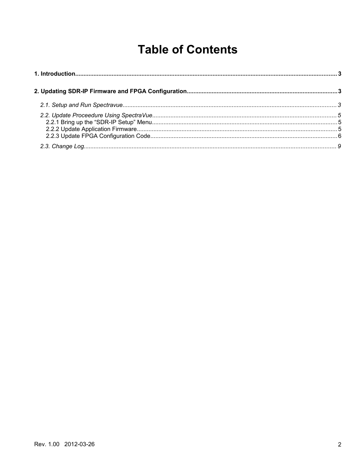# **Table of Contents**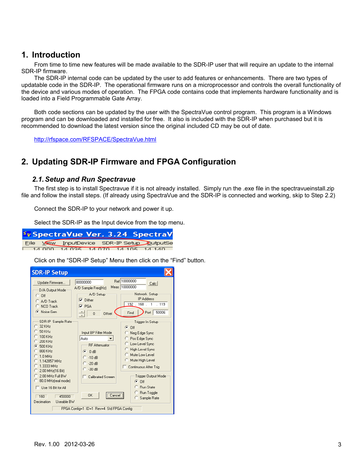## **1. Introduction**

From time to time new features will be made available to the SDR-IP user that will require an update to the internal SDR-IP firmware.

The SDR-IP internal code can be updated by the user to add features or enhancements. There are two types of updatable code in the SDR-IP. The operational firmware runs on a microprocessor and controls the overall functionality of the device and various modes of operation. The FPGA code contains code that implements hardware functionality and is loaded into a Field Programmable Gate Array.

Both code sections can be updated by the user with the SpectraVue control program. This program is a Windows program and can be downloaded and installed for free. It also is included with the SDR-IP when purchased but it is recommended to download the latest version since the original included CD may be out of date.

<http://rfspace.com/RFSPACE/SpectraVue.html>

# **2. Updating SDR-IP Firmware and FPGA Configuration**

### *2.1.Setup and Run Spectravue*

The first step is to install Spectravue if it is not already installed. Simply run the .exe file in the spectravueinstall.zip file and follow the install steps. (If already using SpectraVue and the SDR-IP is connected and working, skip to Step 2.2)

Connect the SDR-IP to your network and power it up.

Select the SDR-IP as the Input device from the top menu.



Click on the "SDR-IP Setup" Menu then click on the "Find" button.

| <b>SDR-IP Setup</b>                                                                                                                                                                                                                                                                                                             |                                                                                                                                          |                                                                                                                                                                                                                                                  |
|---------------------------------------------------------------------------------------------------------------------------------------------------------------------------------------------------------------------------------------------------------------------------------------------------------------------------------|------------------------------------------------------------------------------------------------------------------------------------------|--------------------------------------------------------------------------------------------------------------------------------------------------------------------------------------------------------------------------------------------------|
| Update Firmware<br>D/A Output Mode<br>$C$ Off<br>C. A/D Track<br>NCO Track<br>C Noise Gen                                                                                                                                                                                                                                       | 80000000<br>A/D Sample Freq(Hz)<br>A/D Setup<br>$\nabla$ Dither<br>$\overline{\triangledown}$ PGA<br>$\overline{0}$<br>Offset            | Ref 10000000<br>Calc<br>Meas 10000000<br>Network Setup<br><b>IP Address</b><br>$192$ .<br>$168$ .<br>$-119$<br>$\overline{1}$<br>50006<br>Port<br>Find                                                                                           |
| SDR-IP Sample Rate<br>$32$ KH <sub>z</sub><br>50 KH <sub>z</sub><br>$100$ KH <sub>z</sub><br>$200$ KH <sub>z</sub><br>500 KHz<br>G<br>800 KHz<br>1.0 MHz<br>1.142857 MHz<br>1.3333 MHz<br>2.00 MHz(16 Bit)<br>2.00 MHz Full BW<br>C 80.0 MHz(real mode)<br>$^-$ Use 16 Bit for All<br>160<br>450000<br>Decimation<br>Useable BW | Input BP Filter Mode<br>Auto<br><b>RF</b> Attenuator<br>G<br>0 dB<br>$-10dB$<br>$-20dB$<br>ි -30 dB<br>Calibrated Screen<br>0K<br>Cancel | Trigger In Setup<br>$G$ Off<br>Neg Edge Sync<br>Pos Edge Sync<br>Low Level Sync<br>High Level Sync<br>Mute Low Level<br>Mute High Level<br>Continuous After Trig<br>Trigger Output Mode<br>$G$ Off<br>C Run State<br>C Run Toggle<br>Sample Rate |
| FPGA Config=1 ID=1 Rev=4 Std FPGA Config                                                                                                                                                                                                                                                                                        |                                                                                                                                          |                                                                                                                                                                                                                                                  |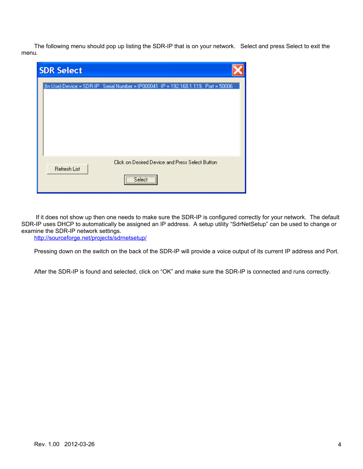The following menu should pop up listing the SDR-IP that is on your network. Select and press Select to exit the menu.

| <b>SDR Select</b>                                                                  |
|------------------------------------------------------------------------------------|
| (In Use) Device = SDR-IP Serial Number = IP000041 IP = 192.168.1.119, Port = 50006 |
| Click on Desired Device and Press Select Button<br>Refresh List<br>Select<br>\     |

 If it does not show up then one needs to make sure the SDR-IP is configured correctly for your network. The default SDR-IP uses DHCP to automatically be assigned an IP address. A setup utility "SdrNetSetup" can be used to change or examine the SDR-IP network settings.

<http://sourceforge.net/projects/sdrnetsetup/>

Pressing down on the switch on the back of the SDR-IP will provide a voice output of its current IP address and Port.

After the SDR-IP is found and selected, click on "OK" and make sure the SDR-IP is connected and runs correctly.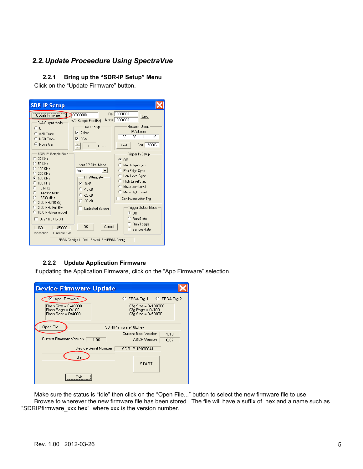## *2.2.Update Proceedure Using SpectraVue*

#### **2.2.1 Bring up the "SDR-IP Setup" Menu**

Click on the "Update Firmware" button.

| <b>SDR-IP Setup</b>                                                                                                                                                                               |                                                                                                                                                                     |                                                                                                                                                                                                                                   |
|---------------------------------------------------------------------------------------------------------------------------------------------------------------------------------------------------|---------------------------------------------------------------------------------------------------------------------------------------------------------------------|-----------------------------------------------------------------------------------------------------------------------------------------------------------------------------------------------------------------------------------|
| Update Firmware<br>D/A Output Mode<br>$C$ Off<br>C A/D Track<br>NCO Track<br>C Noise Gen<br>SDR-IP Sample Rate<br>32 KHz<br>50 KHz<br>100 KHz<br>$200$ KH <sub>z</sub><br>G<br>500 KHz<br>800 KHz | 80000000<br>A/D Sample Freq(Hz)<br>A/D Setup<br>$\nabla$ Dither<br>$\nabla$ PGA<br>0<br>Offset<br>Input BP Filter Mode<br>Auto<br><b>RF</b> Attenuator<br>G<br>0 dB | Ref 10000000<br>Calc<br>Meas 10000000<br>Network Setup<br><b>IP Address</b><br>192.168.1<br>.119<br>50006<br>Port<br>Find<br>Trigger In Setup<br>G.<br>Off<br>Neg Edge Sync<br>Pos Edge Sync<br>Low Level Sync<br>High Level Sync |
| $1.0$ MHz<br>1.142857 MHz<br>1.3333 MHz<br>2.00 MHz(16 Bit)<br>O<br>2.00 MHz Full BW<br>O<br>80.0 MHz(real mode)<br>o<br>Use 16 Bit for All<br>160<br>450000<br>Decimation<br>Useable BW          | $C = 10dB$<br>$-20$ dB<br>$-30dB$<br>Calibrated Screen<br>Cancel<br><b>n</b> <sub>K</sub><br>FPGA Config=1 ID=1 Rev=4 Std FPGA Config                               | Mute Low Level<br>Mute High Level<br>Continuous After Trig<br>Trigger Output Mode<br>$G$ Off<br><b>Bun State</b><br>Run Toggle<br>Sample Rate                                                                                     |

#### **2.2.2 Update Application Firmware**

If updating the Application Firmware, click on the "App Firmware" selection.

| <b>Device Firmware Update</b>                                                       |                                                                                                    |
|-------------------------------------------------------------------------------------|----------------------------------------------------------------------------------------------------|
| App Firmware<br>Flash Size = 0x40000<br>Flash Page = 0x100<br>$Flash Sect = 0x4000$ | C FPGA Cfg 1 C FPGA Cfg 2<br>$Cfq Size = 0x100000$<br>$Cfq$ Page = $0x100$<br>$Cfq Size = 0x50000$ |
| Open File<br><b>Current Firmware Version</b><br>1.06                                | SDRIPfirmware106.hex<br>Current Boot Version<br>1.10<br><b>ASCP</b> Version<br>0.07                |
| Device Serial Number<br>Idle                                                        | SDR-IP IP000041                                                                                    |
| $F_{\text{sat}}$                                                                    | <b>START</b>                                                                                       |

Make sure the status is "Idle" then click on the "Open File..." button to select the new firmware file to use. Browse to wherever the new firmware file has been stored. The file will have a suffix of .hex and a name such as "SDRIPfirmware\_xxx.hex" where xxx is the version number.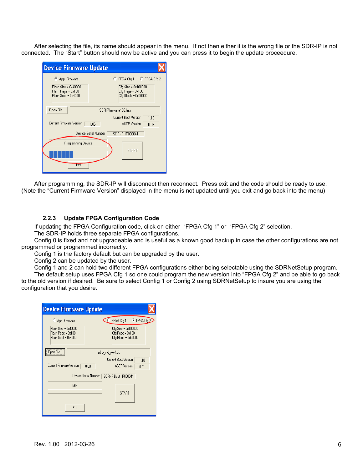After selecting the file, its name should appear in the menu. If not then either it is the wrong file or the SDR-IP is not connected. The "Start" button should now be active and you can press it to begin the update proceedure.

| <b>Device Firmware Update</b>                                                     |                                                                                             |
|-----------------------------------------------------------------------------------|---------------------------------------------------------------------------------------------|
| App Firmware<br>Flash Size = 0x40000<br>Flash Page = 0x100<br>Flash Sect = 0x4000 | FPGA Cfg 1 C FPGA Cfg 2<br>Cfg Size = 0x100000<br>Cfg Page = 0x100<br>Cfg Block = 0x50000   |
| Open File<br>Current Firmware Version                                             | SDRIPfirmware106.hex<br>Current Boot Version<br>1.10<br>1.06<br><b>ASCP</b> Version<br>0.07 |
| Programming Device<br>Exit                                                        | Device Serial Number<br>SDR-IP IP000041<br><b>START</b>                                     |

After programming, the SDR-IP will disconnect then reconnect. Press exit and the code should be ready to use. (Note the "Current Firmware Version" displayed in the menu is not updated until you exit and go back into the menu)

### **2.2.3 Update FPGA Configuration Code**

If updating the FPGA Configuration code, click on either "FPGA Cfg 1" or "FPGA Cfg 2" selection.

The SDR-IP holds three separate FPGA configurations.

Config 0 is fixed and not upgradeable and is useful as a known good backup in case the other configurations are not programmed or programmed incorrectly.

Config 1 is the factory default but can be upgraded by the user.

Config 2 can be updated by the user.

configuration that you desire.

Config 1 and 2 can hold two different FPGA configurations either being selectable using the SDRNetSetup program. The default setup uses FPGA Cfg 1 so one could program the new version into "FPGA Cfg 2" and be able to go back to the old version if desired. Be sure to select Config 1 or Config 2 using SDRNetSetup to insure you are using the

| <b>Device Firmware Update</b>                                     |                                                                |
|-------------------------------------------------------------------|----------------------------------------------------------------|
| C App Firmware                                                    | FPGA Cfg 1<br>C FPGA Cfg 2                                     |
| Flash Size = 0x40000<br>Flash Page = 0x100<br>Flash Sect = 0x4000 | Cfg Size = 0x100000<br>Cfg Page = 0x100<br>Cfg Block = 0x50000 |
| Open File                                                         | sdrip_std_rev4.bit                                             |
|                                                                   | Current Boot Version<br>1.10                                   |
| Current Firmware Version<br>n nn                                  | <b>ASCP</b> Version<br>0.01                                    |
|                                                                   | Device Serial Number   SDR-IP Boot IP000041                    |
| Idle                                                              |                                                                |
|                                                                   | START                                                          |
| Exit                                                              |                                                                |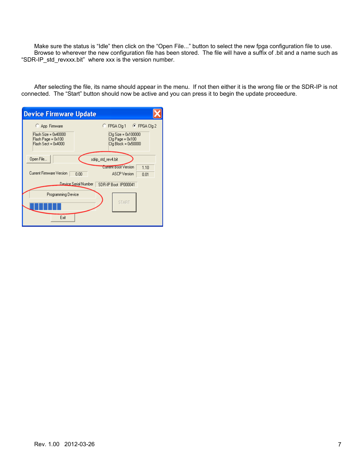Make sure the status is "Idle" then click on the "Open File..." button to select the new fpga configuration file to use. Browse to wherever the new configuration file has been stored. The file will have a suffix of .bit and a name such as "SDR-IP\_std\_revxxx.bit" where xxx is the version number.

After selecting the file, its name should appear in the menu. If not then either it is the wrong file or the SDR-IP is not connected. The "Start" button should now be active and you can press it to begin the update proceedure.

| <b>Device Firmware Update</b>                                                         |                                                                                             |
|---------------------------------------------------------------------------------------|---------------------------------------------------------------------------------------------|
| C App Firmware<br>$Flash Size = 0x40000$<br>Flash Page = 0x100<br>Flash Sect = 0x4000 | C FPGA Cfq 1 G FPGA Cfq 2<br>Cfg Size = 0x100000<br>Cfg Page = 0x100<br>Cfg Block = 0x50000 |
| Open File<br>Current Firmware Version<br>0.00                                         | sdrip_std_rev4.bit<br><b>Current Boot Version</b><br>1.10<br><b>ASCP</b> Version<br>0.01    |
| Device Serial Number                                                                  | SDR-IP Boot IP000041                                                                        |
| Programming Device<br>Exit                                                            | <b>START</b>                                                                                |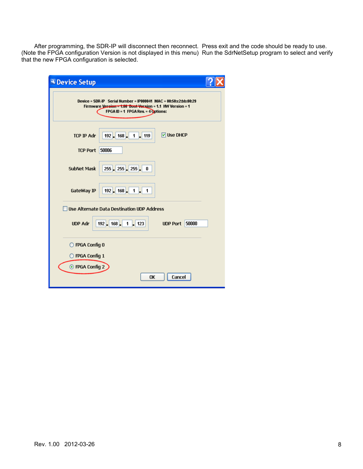After programming, the SDR-IP will disconnect then reconnect. Press exit and the code should be ready to use. (Note the FPGA configuration Version is not displayed in this menu) Run the SdrNetSetup program to select and verify that the new FPGA configuration is selected.

| <b>A</b> Device Setup                                                                                                                                                  |  |
|------------------------------------------------------------------------------------------------------------------------------------------------------------------------|--|
| Device = SDR-IP Serial Number = IP000041 MAC = $00:50:c2:bb:80:29$<br>Firmware Vereion = 1.06 Boot Version = 1.1 HW Version = 1<br>FPGAID = 1 FPGA Rev. = $4$ Options: |  |
| <b>☑ Use DHCP</b><br>$192$ 168<br><b>TCP IP Adr</b><br>1<br>  119                                                                                                      |  |
| 50006<br><b>TCP Port</b>                                                                                                                                               |  |
| $255 - 255 - 255$<br><b>SubNet Mask</b><br>0                                                                                                                           |  |
| $\vert$ 168 $\vert$ <sub>-</sub><br>GateWay IP<br>$192$ .<br>1<br>1                                                                                                    |  |
| Use Alternate Data Destination UDP Address                                                                                                                             |  |
| $192$ 168<br>50000<br><b>UDP Adr</b><br>$\mathbf{1}$<br>123<br><b>UDP Port</b>                                                                                         |  |
| O FPGA Config 0                                                                                                                                                        |  |
| $\bigcirc$ FPGA Config 1                                                                                                                                               |  |
| ⊙ FPGA Config 2                                                                                                                                                        |  |
| Cancel<br>OK                                                                                                                                                           |  |